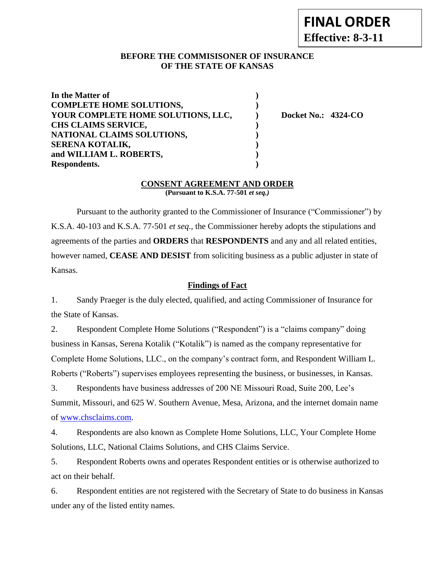### **BEFORE THE COMMISISONER OF INSURANCE OF THE STATE OF KANSAS**

| In the Matter of                   |                            |
|------------------------------------|----------------------------|
| <b>COMPLETE HOME SOLUTIONS,</b>    |                            |
| YOUR COMPLETE HOME SOLUTIONS, LLC, | <b>Docket No.: 4324-CO</b> |
| <b>CHS CLAIMS SERVICE,</b>         |                            |
| NATIONAL CLAIMS SOLUTIONS,         |                            |
| SERENA KOTALIK,                    |                            |
| and WILLIAM L. ROBERTS,            |                            |
| Respondents.                       |                            |

#### **CONSENT AGREEMENT AND ORDER (Pursuant to K.S.A. 77-501** *et seq.)*

Pursuant to the authority granted to the Commissioner of Insurance ("Commissioner") by K.S.A. 40-103 and K.S.A. 77-501 *et seq*., the Commissioner hereby adopts the stipulations and agreements of the parties and **ORDERS** that **RESPONDENTS** and any and all related entities, however named, **CEASE AND DESIST** from soliciting business as a public adjuster in state of Kansas.

# **Findings of Fact**

1. Sandy Praeger is the duly elected, qualified, and acting Commissioner of Insurance for the State of Kansas.

2. Respondent Complete Home Solutions ("Respondent") is a "claims company" doing business in Kansas, Serena Kotalik ("Kotalik") is named as the company representative for Complete Home Solutions, LLC., on the company's contract form, and Respondent William L. Roberts ("Roberts") supervises employees representing the business, or businesses, in Kansas.

3. Respondents have business addresses of 200 NE Missouri Road, Suite 200, Lee's Summit, Missouri, and 625 W. Southern Avenue, Mesa, Arizona, and the internet domain name of [www.chsclaims.com.](http://www.chsclaims.com/)

4. Respondents are also known as Complete Home Solutions, LLC, Your Complete Home Solutions, LLC, National Claims Solutions, and CHS Claims Service.

5. Respondent Roberts owns and operates Respondent entities or is otherwise authorized to act on their behalf.

6. Respondent entities are not registered with the Secretary of State to do business in Kansas under any of the listed entity names.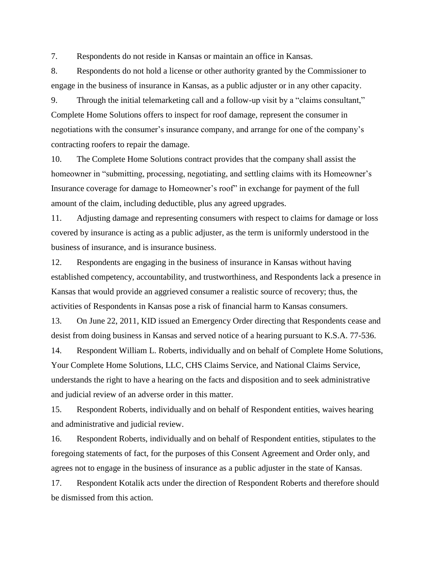7. Respondents do not reside in Kansas or maintain an office in Kansas.

8. Respondents do not hold a license or other authority granted by the Commissioner to engage in the business of insurance in Kansas, as a public adjuster or in any other capacity.

9. Through the initial telemarketing call and a follow-up visit by a "claims consultant," Complete Home Solutions offers to inspect for roof damage, represent the consumer in negotiations with the consumer's insurance company, and arrange for one of the company's contracting roofers to repair the damage.

10. The Complete Home Solutions contract provides that the company shall assist the homeowner in "submitting, processing, negotiating, and settling claims with its Homeowner's Insurance coverage for damage to Homeowner's roof" in exchange for payment of the full amount of the claim, including deductible, plus any agreed upgrades.

11. Adjusting damage and representing consumers with respect to claims for damage or loss covered by insurance is acting as a public adjuster, as the term is uniformly understood in the business of insurance, and is insurance business.

12. Respondents are engaging in the business of insurance in Kansas without having established competency, accountability, and trustworthiness, and Respondents lack a presence in Kansas that would provide an aggrieved consumer a realistic source of recovery; thus, the activities of Respondents in Kansas pose a risk of financial harm to Kansas consumers.

13. On June 22, 2011, KID issued an Emergency Order directing that Respondents cease and desist from doing business in Kansas and served notice of a hearing pursuant to K.S.A. 77-536.

14. Respondent William L. Roberts, individually and on behalf of Complete Home Solutions, Your Complete Home Solutions, LLC, CHS Claims Service, and National Claims Service, understands the right to have a hearing on the facts and disposition and to seek administrative and judicial review of an adverse order in this matter.

15. Respondent Roberts, individually and on behalf of Respondent entities, waives hearing and administrative and judicial review.

16. Respondent Roberts, individually and on behalf of Respondent entities, stipulates to the foregoing statements of fact, for the purposes of this Consent Agreement and Order only, and agrees not to engage in the business of insurance as a public adjuster in the state of Kansas.

17. Respondent Kotalik acts under the direction of Respondent Roberts and therefore should be dismissed from this action.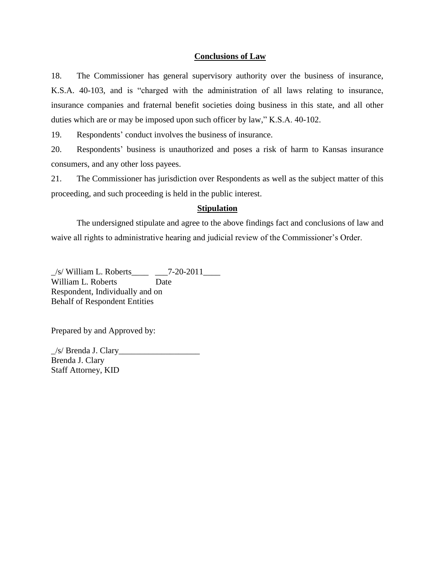### **Conclusions of Law**

18. The Commissioner has general supervisory authority over the business of insurance, K.S.A. 40-103, and is "charged with the administration of all laws relating to insurance, insurance companies and fraternal benefit societies doing business in this state, and all other duties which are or may be imposed upon such officer by law," K.S.A. 40-102.

19. Respondents' conduct involves the business of insurance.

20. Respondents' business is unauthorized and poses a risk of harm to Kansas insurance consumers, and any other loss payees.

21. The Commissioner has jurisdiction over Respondents as well as the subject matter of this proceeding, and such proceeding is held in the public interest.

#### **Stipulation**

The undersigned stipulate and agree to the above findings fact and conclusions of law and waive all rights to administrative hearing and judicial review of the Commissioner's Order.

 $\angle$ s/ William L. Roberts $\angle$   $\angle$  7-20-2011 $\angle$ William L. Roberts Date Respondent, Individually and on Behalf of Respondent Entities

Prepared by and Approved by:

 $/s/$  Brenda J. Clary Brenda J. Clary Staff Attorney, KID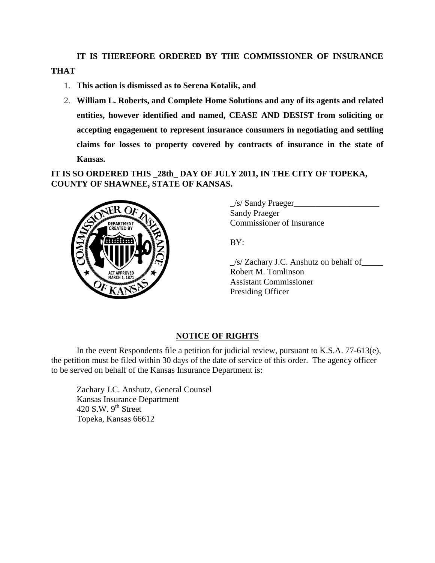**IT IS THEREFORE ORDERED BY THE COMMISSIONER OF INSURANCE THAT** 

- 1. **This action is dismissed as to Serena Kotalik, and**
- 2. **William L. Roberts, and Complete Home Solutions and any of its agents and related entities, however identified and named, CEASE AND DESIST from soliciting or accepting engagement to represent insurance consumers in negotiating and settling claims for losses to property covered by contracts of insurance in the state of Kansas.**

**IT IS SO ORDERED THIS \_28th\_ DAY OF JULY 2011, IN THE CITY OF TOPEKA, COUNTY OF SHAWNEE, STATE OF KANSAS.** 



 $\angle$ s/ Sandy Praeger Sandy Praeger Commissioner of Insurance

BY:

\_/s/ Zachary J.C. Anshutz on behalf of\_\_\_\_\_ Robert M. Tomlinson Assistant Commissioner Presiding Officer

## **NOTICE OF RIGHTS**

In the event Respondents file a petition for judicial review, pursuant to K.S.A. 77-613(e), the petition must be filed within 30 days of the date of service of this order. The agency officer to be served on behalf of the Kansas Insurance Department is:

Zachary J.C. Anshutz, General Counsel Kansas Insurance Department 420 S.W.  $9<sup>th</sup>$  Street Topeka, Kansas 66612